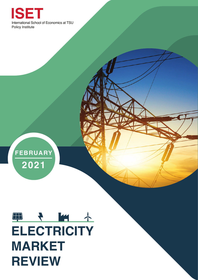

# ED + MA **ELECTRICITY MARKET REVIEW**

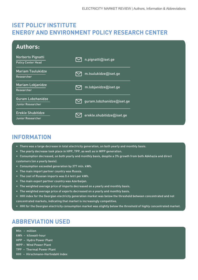## **ISET POLICY INSTITUTE ENERGY AND ENVIRONMENT POLICY RESEARCH CENTER**

| <b>Authors:</b>                                      |                                                   |
|------------------------------------------------------|---------------------------------------------------|
| Norberto Pignatti<br><b>Policy Center Head</b>       | n.pignatti@iset.ge                                |
| <b>Mariam Tsulukidze</b><br>Researcher               | m.tsulukidze@iset.ge<br>$\boldsymbol{\mathsf{I}}$ |
| <b>Mariam Lobjanidze</b><br>Researcher               | m.lobjanidze@iset.ge                              |
| <b>Guram Lobzhanidze</b><br>Junior Researcher        | guram.lobzhanidze@iset.ge                         |
| <b>Erekle Shubitidze</b><br><b>Junior Researcher</b> | erekle.shubitidze@iset.ge                         |

# **INFORMATION**

- There was a large decrease in total electricity generation, on both yearly and monthly basis.
- The yearly decrease took place in HPP, TPP, as well as in WPP generation.
- Consumption decreased, on both yearly and monthly basis, despite a 3% growth from both Abkhazia and direct customers (on a yearly basis).
- Consumption exceeded generation by 377 mln. kWh.
- The main import partner country was Russia.
- The cost of Russian imports was 0.4 tetri per kWh.
- The main export partner country was Azerbaijan.
- The weighted average price of imports decreased on a yearly and monthly basis.
- The weighted average price of exports decreased on a yearly and monthly basis.
- HHI index for the Georgian electricity generation market was below the threshold between concentrated and not concentrated markets, indicating that market is increasingly competitive.
- HHI for the Georgian electricity consumption market was slightly below the threshold of highly concentrated market.

# **ABBREVIATION USED**

- Mln million
- kWh kilowatt-hour
- HPP Hydro Power Plant
- WPP Wind Power Plant
- TPP Thermal Power Plant
- HHI Hirschmann-Herfindahl Index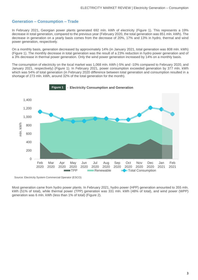#### **Generation – Consumption – Trade**

In February 2021, Georgian power plants generated 692 mln. kWh of electricity (Figure 1). This represents a 19% decrease in total generation, compared to the previous year (February 2020, the total generation was 851 mln. kWh). The decrease in generation on a yearly basis comes from the decrease of 20%, 17% and 13% in hydro, thermal and wind power generation, respectively.

On a monthly basis, generation decreased by approximately 14% (in January 2021, total generation was 808 mln. kWh) (Figure 1). The monthly decrease in total generation was the result of a 23% reduction in hydro power generation and of a 3% decrease in thermal power generation. Only the wind power generation increased by 14% on a monthly basis.

The consumption of electricity on the local market was 1,068 mln. kWh (-5% and -10% compared to February 2020, and January 2021, respectively) (Figure 1). In February 2021, power consumption exceeded generation by 377 mln. kWh which was 54% of total generation (in February 2020 difference between total generation and consumption resulted in a shortage of 273 mln. kWh, around 32% of the total generation for the month).



Source: Electricity System Commercial Operator (ESCO)

Most generation came from hydro power plants. In February 2021, hydro power (HPP) generation amounted to 355 mln. kWh (51% of total), while thermal power (TPP) generation was 331 mln. kWh (48% of total), and wind power (WPP) generation was 6 mln. kWh (less than 1% of total) (Figure 2).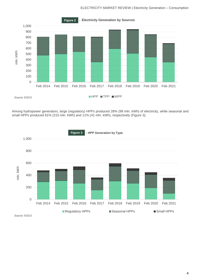#### ELECTRICITY MARKET REVIEW | Electricity Generation – Consumption



Among hydropower generators, large (regulatory) HPPs produced 28% (99 mln. kWh) of electricity, while seasonal and small HPPs produced 61% (215 mln. kWh) and 11% (41 mln. kWh), respectively (Figure 3).

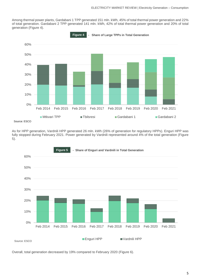Among thermal power plants, Gardabani 1 TPP generated 151 mln. kWh, 45% of total thermal power generation and 22% of total generation. Gardabani 2 TPP generated 141 mln. kWh, 42% of total thermal power generation and 20% of total generation (Figure 4).



As for HPP generation, Vardnili HPP generated 26 mln. kWh (26% of generation for regulatory HPPs). Enguri HPP was fully stopped during February 2021. Power generated by Vardnili represented around 4% of the total generation (Figure 5).



Overall, total generation decreased by 19% compared to February 2020 (Figure 6).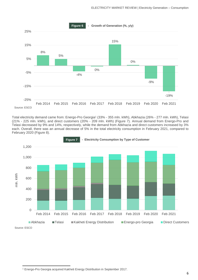

Total electricity demand came from: Energo-Pro Georgia<sup>1</sup> (33% - 355 mln. kWh), Abkhazia (26% - 277 mln. kWh), Telasi (21% - 225 mln. kWh), and direct customers (20% - 209 mln. kWh) (Figure 7). Annual demand from Energo-Pro and Telasi decreased by 9% and 14%, respectively, while the demand from Abkhazia and direct customers increased by 3% each. Overall, there was an annual decrease of 5% in the total electricity consumption in February 2021, compared to February 2020 (Figure 8).



<sup>1</sup> Energo-Pro Georgia acquired Kakheti Energy Distribution in September 2017.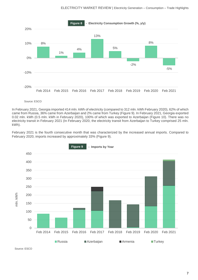

Source: ESCO

In February 2021, Georgia imported 414 mln. kWh of electricity (compared to 312 mln. kWh February 2020), 62% of which came from Russia, 36% came from Azerbaijan and 2% came from Turkey (Figure 9). In February 2021, Georgia exported 0.02 mln. kWh (0.5 mln. kWh in February 2020), 100% of which was exported to Azerbaijan (Figure 10). There was no electricity transit in February 2021 (In February 2020, the electricity transit from Azerbaijan to Turkey comprised 25 mln. kWh).

February 2021 is the fourth consecutive month that was characterized by the increased annual imports. Compared to February 2020, imports increased by approximately 33% (Figure 9).

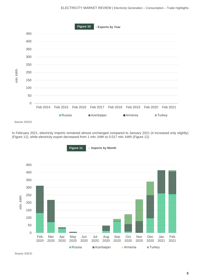

In February 2021, electricity imports remained almost unchanged compared to January 2021 (it increased only slightly) (Figure 11), while electricity export decreased from 1 mln. kWh to 0.017 mln. kWh (Figure 12).

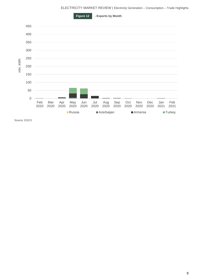ELECTRICITY MARKET REVIEW | Electricity Generation – Consumption – Trade Highlights

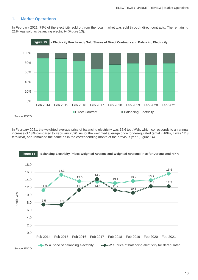## **1. Market Operations**

In February 2021, 79% of the electricity sold on/from the local market was sold through direct contracts. The remaining 21% was sold as balancing electricity (Figure 13).





In February 2021, the weighted average price of balancing electricity was 15.6 tetri/kWh, which corresponds to an annual increase of 13% compared to February 2020. As for the weighted average price for deregulated (small) HPPs, it was 12.3 tetri/kWh, and remained the same as in the corresponding month of the previous year (Figure 14).



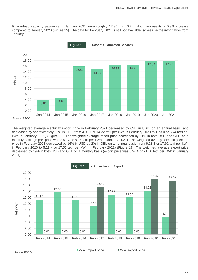Guaranteed capacity payments in January 2021 were roughly 17.90 mln. GEL, which represents a 0.3% increase compared to January 2020 (Figure 15). The data for February 2021 is still not available, so we use the information from January.



The weighted average electricity import price in February 2021 decreased by 65% in USD, on an annual basis, and decreased by approximately 60% in GEL (from 4.99  $\phi$  or 14.22 tetri per kWh in February 2020 to 1.73  $\phi$  or 5.74 tetri per kWh in February 2021) (Figure 16). The weighted average import price decreased by 31% in both USD and GEL, on a monthly basis (import price was 2.51  $\phi$  or 8.27 tetri per kWh in January 2021). The weighted average electricity export price in February 2021 decreased by 16% in USD by 2% in GEL on an annual basis (from 6.28  $\phi$  or 17.92 tetri per kWh in February 2020 to 5.29 ¢ or 17.52 tetri per kWh in February 2021) (Figure 17). The weighted average export price decreased by 19% in both USD and GEL on a monthly basis (export price was 6.54  $\ell$  or 21.56 tetri per kWh in January 2021).

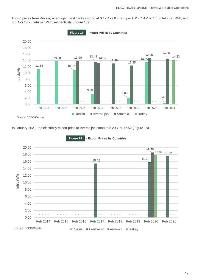Import prices from Russia, Azerbaijan, and Turkey stood at 0.12 ¢ or 0.4 tetri per kWh, 4.4 ¢ or 14.56 tetri per kWh, and 4.3 ¢ or 14.23 tetri per kWh, respectively (Figure 17).



In January 2021, the electricity export price to Azerbaijan stood at 5.29 ¢ or 17.52 (Figure 18).



 **- Export Prices by Countries Figure 18**